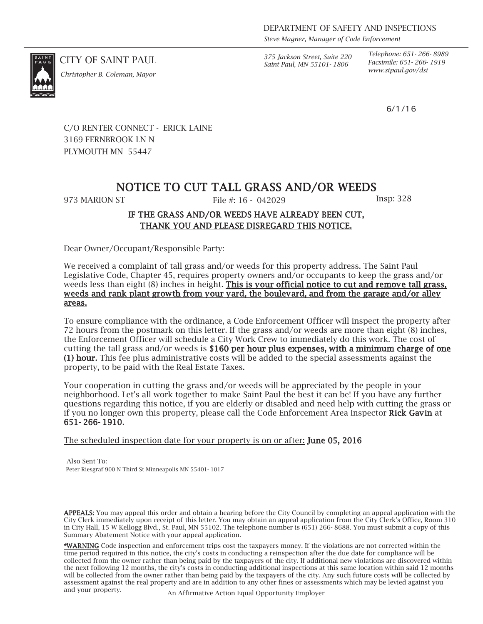*Steve Magner, Manager of Code Enforcement*

CITY OF SAINT PAUL *375 Jackson Street, Suite 220 Saint Paul, MN 55101- 1806*

*Telephone: 651- 266- 8989 Facsimile: 651- 266- 1919 www.stpaul.gov/dsi Christopher B. Coleman, Mayor*

6/1/16

C/O RENTER CONNECT - ERICK LAINE 3169 FERNBROOK LN N PLYMOUTH MN 55447

# NOTICE TO CUT TALL GRASS AND/OR WEEDS

973 MARION ST File #: 16 - 042029 Insp: 328

### IF THE GRASS AND/OR WEEDS HAVE ALREADY BEEN CUT, THANK YOU AND PLEASE DISREGARD THIS NOTICE.

Dear Owner/Occupant/Responsible Party:

We received a complaint of tall grass and/or weeds for this property address. The Saint Paul Legislative Code, Chapter 45, requires property owners and/or occupants to keep the grass and/or weeds less than eight (8) inches in height. This is your official notice to cut and remove tall grass, weeds and rank plant growth from your yard, the boulevard, and from the garage and/or alley areas.

To ensure compliance with the ordinance, a Code Enforcement Officer will inspect the property after 72 hours from the postmark on this letter. If the grass and/or weeds are more than eight (8) inches, the Enforcement Officer will schedule a City Work Crew to immediately do this work. The cost of cutting the tall grass and/or weeds is \$160 per hour plus expenses, with a minimum charge of one (1) hour. This fee plus administrative costs will be added to the special assessments against the property, to be paid with the Real Estate Taxes.

Your cooperation in cutting the grass and/or weeds will be appreciated by the people in your neighborhood. Let's all work together to make Saint Paul the best it can be! If you have any further questions regarding this notice, if you are elderly or disabled and need help with cutting the grass or if you no longer own this property, please call the Code Enforcement Area Inspector Rick Gavin at 651- 266- 1910.

The scheduled inspection date for your property is on or after: **June 05, 2016** 

Also Sent To: Peter Riesgraf 900 N Third St Minneapolis MN 55401- 1017

APPEALS: You may appeal this order and obtain a hearing before the City Council by completing an appeal application with the City Clerk immediately upon receipt of this letter. You may obtain an appeal application from the City Clerk's Office, Room 310 in City Hall, 15 W Kellogg Blvd., St. Paul, MN 55102. The telephone number is (651) 266- 8688. You must submit a copy of this Summary Abatement Notice with your appeal application.

\*WARNING Code inspection and enforcement trips cost the taxpayers money. If the violations are not corrected within the time period required in this notice, the city's costs in conducting a reinspection after the due date for compliance will be collected from the owner rather than being paid by the taxpayers of the city. If additional new violations are discovered within the next following 12 months, the city's costs in conducting additional inspections at this same location within said 12 months will be collected from the owner rather than being paid by the taxpayers of the city. Any such future costs will be collected by assessment against the real property and are in addition to any other fines or assessments which may be levied against you and your property. An Affirmative Action Equal Opportunity Employer

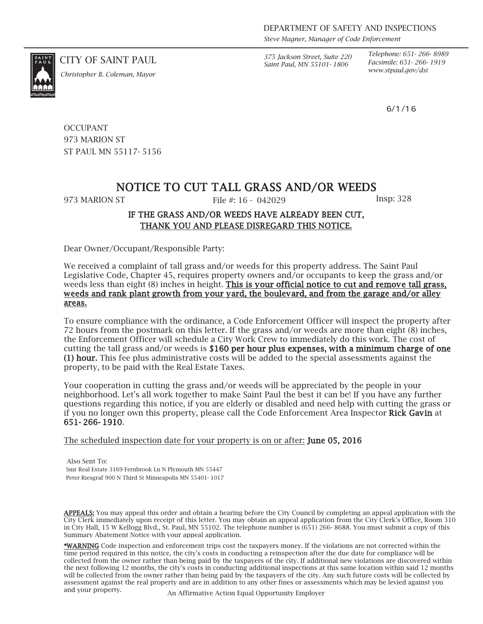*Steve Magner, Manager of Code Enforcement*

CITY OF SAINT PAUL *375 Jackson Street, Suite 220 Saint Paul, MN 55101- 1806*

*Telephone: 651- 266- 8989 Facsimile: 651- 266- 1919*

6/1/16

*www.stpaul.gov/dsi Christopher B. Coleman, Mayor*

**OCCUPANT** 973 MARION ST ST PAUL MN 55117- 5156

# NOTICE TO CUT TALL GRASS AND/OR WEEDS

973 MARION ST File #: 16 - 042029 Insp: 328

## IF THE GRASS AND/OR WEEDS HAVE ALREADY BEEN CUT, THANK YOU AND PLEASE DISREGARD THIS NOTICE.

Dear Owner/Occupant/Responsible Party:

We received a complaint of tall grass and/or weeds for this property address. The Saint Paul Legislative Code, Chapter 45, requires property owners and/or occupants to keep the grass and/or weeds less than eight (8) inches in height. This is your official notice to cut and remove tall grass, weeds and rank plant growth from your yard, the boulevard, and from the garage and/or alley areas.

To ensure compliance with the ordinance, a Code Enforcement Officer will inspect the property after 72 hours from the postmark on this letter. If the grass and/or weeds are more than eight (8) inches, the Enforcement Officer will schedule a City Work Crew to immediately do this work. The cost of cutting the tall grass and/or weeds is \$160 per hour plus expenses, with a minimum charge of one (1) hour. This fee plus administrative costs will be added to the special assessments against the property, to be paid with the Real Estate Taxes.

Your cooperation in cutting the grass and/or weeds will be appreciated by the people in your neighborhood. Let's all work together to make Saint Paul the best it can be! If you have any further questions regarding this notice, if you are elderly or disabled and need help with cutting the grass or if you no longer own this property, please call the Code Enforcement Area Inspector Rick Gavin at 651- 266- 1910.

The scheduled inspection date for your property is on or after: **June 05, 2016** 

Also Sent To: Smr Real Estate 3169 Fernbrook Ln N Plymouth MN 55447 Peter Riesgraf 900 N Third St Minneapolis MN 55401- 1017

APPEALS: You may appeal this order and obtain a hearing before the City Council by completing an appeal application with the City Clerk immediately upon receipt of this letter. You may obtain an appeal application from the City Clerk's Office, Room 310 in City Hall, 15 W Kellogg Blvd., St. Paul, MN 55102. The telephone number is (651) 266- 8688. You must submit a copy of this Summary Abatement Notice with your appeal application.

\*WARNING Code inspection and enforcement trips cost the taxpayers money. If the violations are not corrected within the time period required in this notice, the city's costs in conducting a reinspection after the due date for compliance will be collected from the owner rather than being paid by the taxpayers of the city. If additional new violations are discovered within the next following 12 months, the city's costs in conducting additional inspections at this same location within said 12 months will be collected from the owner rather than being paid by the taxpayers of the city. Any such future costs will be collected by assessment against the real property and are in addition to any other fines or assessments which may be levied against you and your property. An Affirmative Action Equal Opportunity Employer